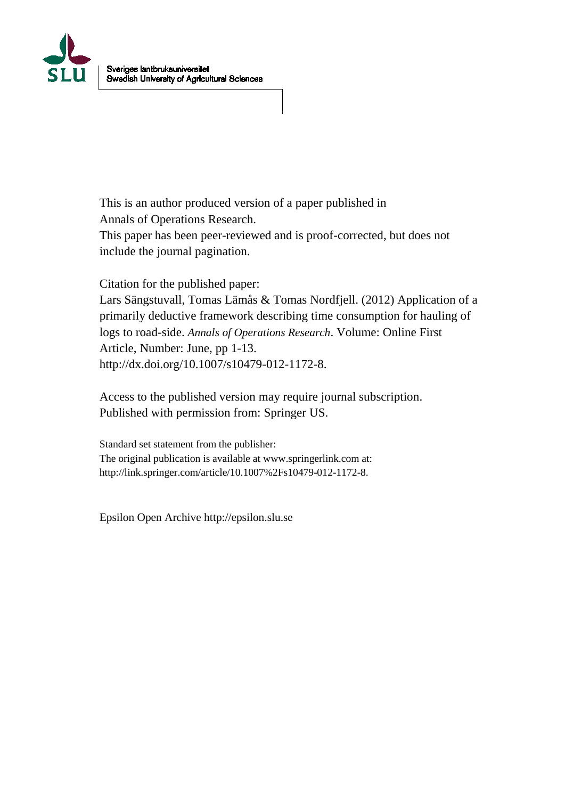

This is an author produced version of a paper published in Annals of Operations Research. This paper has been peer-reviewed and is proof-corrected, but does not include the journal pagination.

Citation for the published paper:

Lars Sängstuvall, Tomas Lämås & Tomas Nordfjell. (2012) Application of a primarily deductive framework describing time consumption for hauling of logs to road-side. *Annals of Operations Research*. Volume: Online First Article, Number: June, pp 1-13. http://dx.doi.org/10.1007/s10479-012-1172-8.

Access to the published version may require journal subscription. Published with permission from: Springer US.

Standard set statement from the publisher: The original publication is available at www.springerlink.com at: http://link.springer.com/article/10.1007%2Fs10479-012-1172-8.

Epsilon Open Archive http://epsilon.slu.se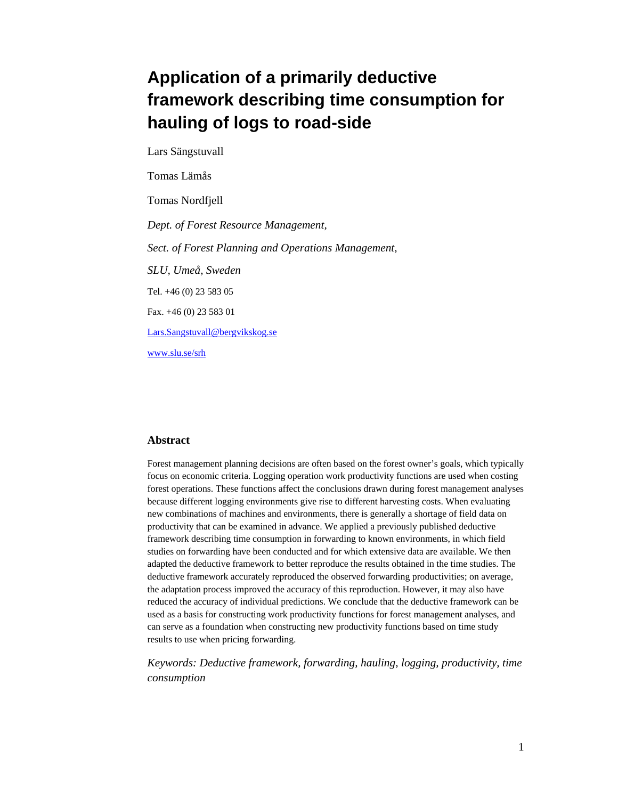# **Application of a primarily deductive framework describing time consumption for hauling of logs to road-side**

Lars Sängstuvall

Tomas Lämås

Tomas Nordfjell

*Dept. of Forest Resource Management, Sect. of Forest Planning and Operations Management, SLU, Umeå, Sweden* 

Tel. +46 (0) 23 583 05

Fax. +46 (0) 23 583 01

Lars.Sangstuvall@bergvikskog.se

www.slu.se/srh

#### **Abstract**

Forest management planning decisions are often based on the forest owner's goals, which typically focus on economic criteria. Logging operation work productivity functions are used when costing forest operations. These functions affect the conclusions drawn during forest management analyses because different logging environments give rise to different harvesting costs. When evaluating new combinations of machines and environments, there is generally a shortage of field data on productivity that can be examined in advance. We applied a previously published deductive framework describing time consumption in forwarding to known environments, in which field studies on forwarding have been conducted and for which extensive data are available. We then adapted the deductive framework to better reproduce the results obtained in the time studies. The deductive framework accurately reproduced the observed forwarding productivities; on average, the adaptation process improved the accuracy of this reproduction. However, it may also have reduced the accuracy of individual predictions. We conclude that the deductive framework can be used as a basis for constructing work productivity functions for forest management analyses, and can serve as a foundation when constructing new productivity functions based on time study results to use when pricing forwarding.

*Keywords: Deductive framework, forwarding, hauling, logging, productivity, time consumption*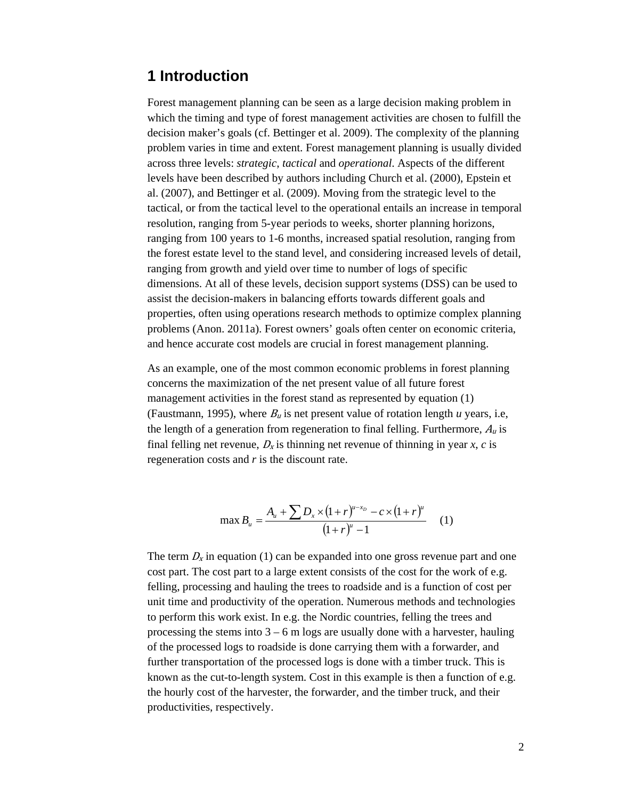### **1 Introduction**

Forest management planning can be seen as a large decision making problem in which the timing and type of forest management activities are chosen to fulfill the decision maker's goals (cf. Bettinger et al. 2009). The complexity of the planning problem varies in time and extent. Forest management planning is usually divided across three levels: *strategic*, *tactical* and *operational*. Aspects of the different levels have been described by authors including Church et al. (2000), Epstein et al. (2007), and Bettinger et al. (2009). Moving from the strategic level to the tactical, or from the tactical level to the operational entails an increase in temporal resolution, ranging from 5-year periods to weeks, shorter planning horizons, ranging from 100 years to 1-6 months, increased spatial resolution, ranging from the forest estate level to the stand level, and considering increased levels of detail, ranging from growth and yield over time to number of logs of specific dimensions. At all of these levels, decision support systems (DSS) can be used to assist the decision-makers in balancing efforts towards different goals and properties, often using operations research methods to optimize complex planning problems (Anon. 2011a). Forest owners' goals often center on economic criteria, and hence accurate cost models are crucial in forest management planning.

As an example, one of the most common economic problems in forest planning concerns the maximization of the net present value of all future forest management activities in the forest stand as represented by equation (1) (Faustmann, 1995), where  $B_u$  is net present value of rotation length  $u$  years, i.e, the length of a generation from regeneration to final felling. Furthermore,  $A_u$  is final felling net revenue,  $D_x$  is thinning net revenue of thinning in year *x*, *c* is regeneration costs and *r* is the discount rate.

$$
\max B_{u} = \frac{A_{u} + \sum D_{x} \times (1+r)^{u-x_{D}} - c \times (1+r)^{u}}{(1+r)^{u} - 1}
$$
 (1)

The term  $D_x$  in equation (1) can be expanded into one gross revenue part and one cost part. The cost part to a large extent consists of the cost for the work of e.g. felling, processing and hauling the trees to roadside and is a function of cost per unit time and productivity of the operation. Numerous methods and technologies to perform this work exist. In e.g. the Nordic countries, felling the trees and processing the stems into  $3 - 6$  m logs are usually done with a harvester, hauling of the processed logs to roadside is done carrying them with a forwarder, and further transportation of the processed logs is done with a timber truck. This is known as the cut-to-length system. Cost in this example is then a function of e.g. the hourly cost of the harvester, the forwarder, and the timber truck, and their productivities, respectively.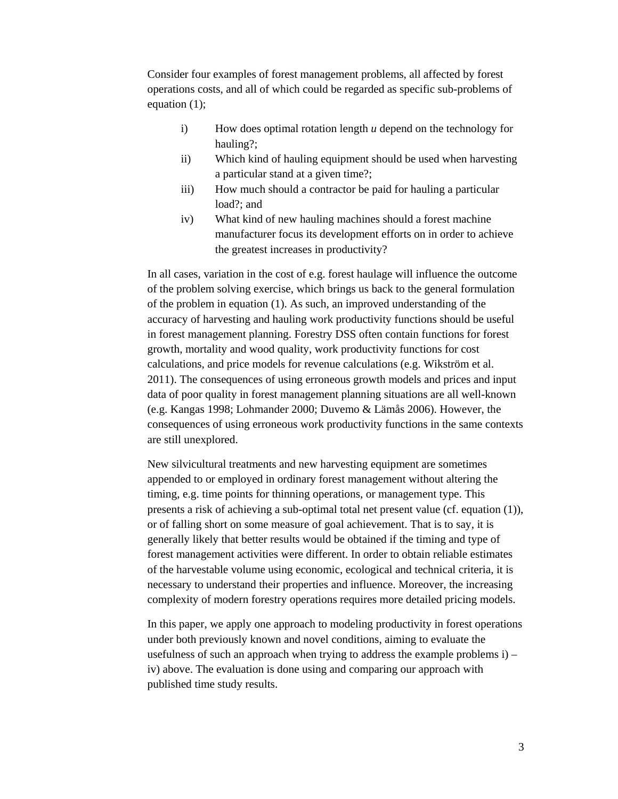Consider four examples of forest management problems, all affected by forest operations costs, and all of which could be regarded as specific sub-problems of equation (1);

- i) How does optimal rotation length *u* depend on the technology for hauling?;
- ii) Which kind of hauling equipment should be used when harvesting a particular stand at a given time?;
- iii) How much should a contractor be paid for hauling a particular load?; and
- iv) What kind of new hauling machines should a forest machine manufacturer focus its development efforts on in order to achieve the greatest increases in productivity?

In all cases, variation in the cost of e.g. forest haulage will influence the outcome of the problem solving exercise, which brings us back to the general formulation of the problem in equation (1). As such, an improved understanding of the accuracy of harvesting and hauling work productivity functions should be useful in forest management planning. Forestry DSS often contain functions for forest growth, mortality and wood quality, work productivity functions for cost calculations, and price models for revenue calculations (e.g. Wikström et al. 2011). The consequences of using erroneous growth models and prices and input data of poor quality in forest management planning situations are all well-known (e.g. Kangas 1998; Lohmander 2000; Duvemo & Lämås 2006). However, the consequences of using erroneous work productivity functions in the same contexts are still unexplored.

New silvicultural treatments and new harvesting equipment are sometimes appended to or employed in ordinary forest management without altering the timing, e.g. time points for thinning operations, or management type. This presents a risk of achieving a sub-optimal total net present value (cf. equation (1)), or of falling short on some measure of goal achievement. That is to say, it is generally likely that better results would be obtained if the timing and type of forest management activities were different. In order to obtain reliable estimates of the harvestable volume using economic, ecological and technical criteria, it is necessary to understand their properties and influence. Moreover, the increasing complexity of modern forestry operations requires more detailed pricing models.

In this paper, we apply one approach to modeling productivity in forest operations under both previously known and novel conditions, aiming to evaluate the usefulness of such an approach when trying to address the example problems i) – iv) above. The evaluation is done using and comparing our approach with published time study results.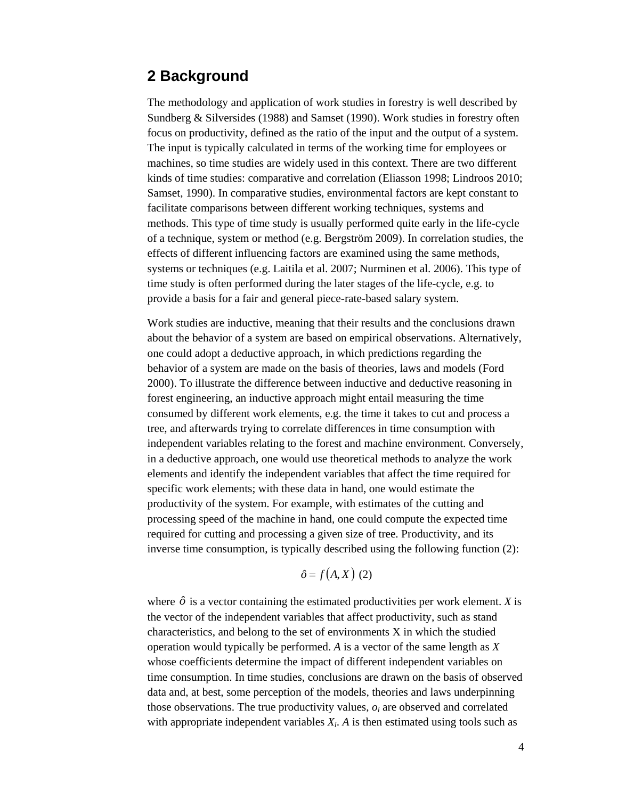### **2 Background**

The methodology and application of work studies in forestry is well described by Sundberg & Silversides (1988) and Samset (1990). Work studies in forestry often focus on productivity, defined as the ratio of the input and the output of a system. The input is typically calculated in terms of the working time for employees or machines, so time studies are widely used in this context. There are two different kinds of time studies: comparative and correlation (Eliasson 1998; Lindroos 2010; Samset, 1990). In comparative studies, environmental factors are kept constant to facilitate comparisons between different working techniques, systems and methods. This type of time study is usually performed quite early in the life-cycle of a technique, system or method (e.g. Bergström 2009). In correlation studies, the effects of different influencing factors are examined using the same methods, systems or techniques (e.g. Laitila et al. 2007; Nurminen et al. 2006). This type of time study is often performed during the later stages of the life-cycle, e.g. to provide a basis for a fair and general piece-rate-based salary system.

Work studies are inductive, meaning that their results and the conclusions drawn about the behavior of a system are based on empirical observations. Alternatively, one could adopt a deductive approach, in which predictions regarding the behavior of a system are made on the basis of theories, laws and models (Ford 2000). To illustrate the difference between inductive and deductive reasoning in forest engineering, an inductive approach might entail measuring the time consumed by different work elements, e.g. the time it takes to cut and process a tree, and afterwards trying to correlate differences in time consumption with independent variables relating to the forest and machine environment. Conversely, in a deductive approach, one would use theoretical methods to analyze the work elements and identify the independent variables that affect the time required for specific work elements; with these data in hand, one would estimate the productivity of the system. For example, with estimates of the cutting and processing speed of the machine in hand, one could compute the expected time required for cutting and processing a given size of tree. Productivity, and its inverse time consumption, is typically described using the following function (2):

$$
\hat{o} = f(A, X) \tag{2}
$$

where  $\hat{o}$  is a vector containing the estimated productivities per work element. *X* is the vector of the independent variables that affect productivity, such as stand characteristics, and belong to the set of environments X in which the studied operation would typically be performed. *A* is a vector of the same length as *X*  whose coefficients determine the impact of different independent variables on time consumption. In time studies, conclusions are drawn on the basis of observed data and, at best, some perception of the models, theories and laws underpinning those observations. The true productivity values, *oi* are observed and correlated with appropriate independent variables  $X_i$ .  $\tilde{A}$  is then estimated using tools such as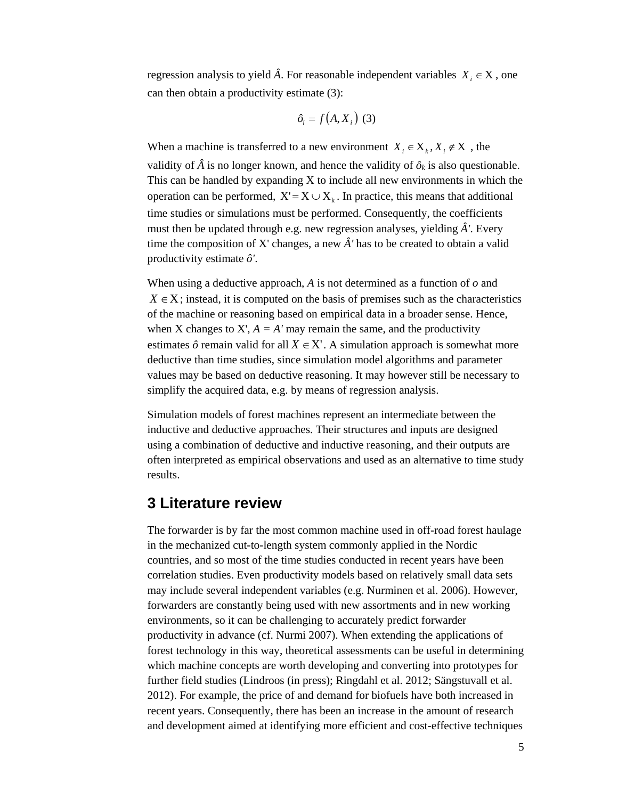regression analysis to yield  $\hat{A}$ . For reasonable independent variables  $X_i \in X$ , one can then obtain a productivity estimate (3):

$$
\hat{o}_i = f(A, X_i) \tag{3}
$$

When a machine is transferred to a new environment  $X_i \in X_k, X_i \notin X$ , the validity of  $\hat{A}$  is no longer known, and hence the validity of  $\hat{o}_k$  is also questionable. This can be handled by expanding  $X$  to include all new environments in which the operation can be performed,  $X' = X \cup X_k$ . In practice, this means that additional time studies or simulations must be performed. Consequently, the coefficients must then be updated through e.g. new regression analyses, yielding *Â'*. Every time the composition of X' changes, a new  $\hat{A}$ ' has to be created to obtain a valid productivity estimate *ô'*.

When using a deductive approach, *A* is not determined as a function of *o* and  $X \in X$ ; instead, it is computed on the basis of premises such as the characteristics of the machine or reasoning based on empirical data in a broader sense. Hence, when X changes to X',  $A = A'$  may remain the same, and the productivity estimates  $\hat{o}$  remain valid for all  $X \in X'$ . A simulation approach is somewhat more deductive than time studies, since simulation model algorithms and parameter values may be based on deductive reasoning. It may however still be necessary to simplify the acquired data, e.g. by means of regression analysis.

Simulation models of forest machines represent an intermediate between the inductive and deductive approaches. Their structures and inputs are designed using a combination of deductive and inductive reasoning, and their outputs are often interpreted as empirical observations and used as an alternative to time study results.

#### **3 Literature review**

The forwarder is by far the most common machine used in off-road forest haulage in the mechanized cut-to-length system commonly applied in the Nordic countries, and so most of the time studies conducted in recent years have been correlation studies. Even productivity models based on relatively small data sets may include several independent variables (e.g. Nurminen et al. 2006). However, forwarders are constantly being used with new assortments and in new working environments, so it can be challenging to accurately predict forwarder productivity in advance (cf. Nurmi 2007). When extending the applications of forest technology in this way, theoretical assessments can be useful in determining which machine concepts are worth developing and converting into prototypes for further field studies (Lindroos (in press); Ringdahl et al. 2012; Sängstuvall et al. 2012). For example, the price of and demand for biofuels have both increased in recent years. Consequently, there has been an increase in the amount of research and development aimed at identifying more efficient and cost-effective techniques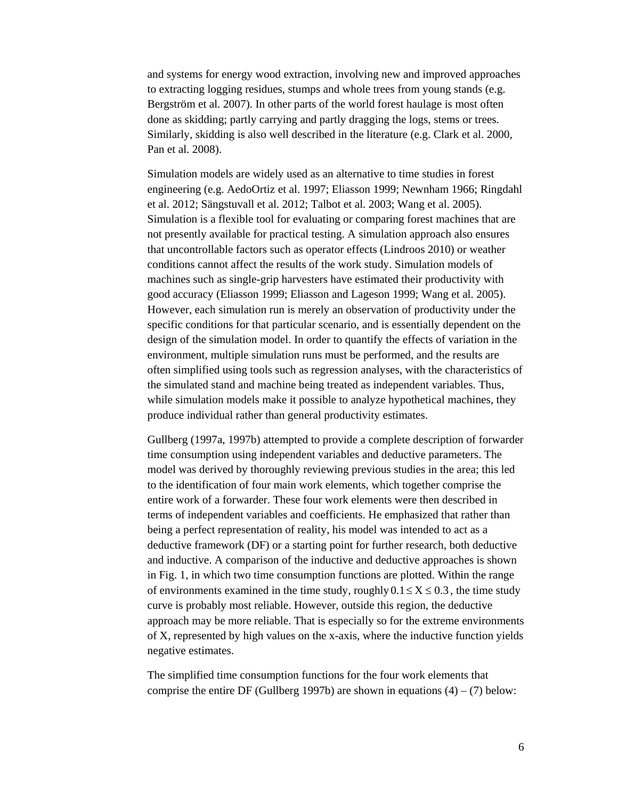and systems for energy wood extraction, involving new and improved approaches to extracting logging residues, stumps and whole trees from young stands (e.g. Bergström et al. 2007). In other parts of the world forest haulage is most often done as skidding; partly carrying and partly dragging the logs, stems or trees. Similarly, skidding is also well described in the literature (e.g. Clark et al. 2000, Pan et al. 2008).

Simulation models are widely used as an alternative to time studies in forest engineering (e.g. AedoOrtiz et al. 1997; Eliasson 1999; Newnham 1966; Ringdahl et al. 2012; Sängstuvall et al. 2012; Talbot et al. 2003; Wang et al. 2005). Simulation is a flexible tool for evaluating or comparing forest machines that are not presently available for practical testing. A simulation approach also ensures that uncontrollable factors such as operator effects (Lindroos 2010) or weather conditions cannot affect the results of the work study. Simulation models of machines such as single-grip harvesters have estimated their productivity with good accuracy (Eliasson 1999; Eliasson and Lageson 1999; Wang et al. 2005). However, each simulation run is merely an observation of productivity under the specific conditions for that particular scenario, and is essentially dependent on the design of the simulation model. In order to quantify the effects of variation in the environment, multiple simulation runs must be performed, and the results are often simplified using tools such as regression analyses, with the characteristics of the simulated stand and machine being treated as independent variables. Thus, while simulation models make it possible to analyze hypothetical machines, they produce individual rather than general productivity estimates.

Gullberg (1997a, 1997b) attempted to provide a complete description of forwarder time consumption using independent variables and deductive parameters. The model was derived by thoroughly reviewing previous studies in the area; this led to the identification of four main work elements, which together comprise the entire work of a forwarder. These four work elements were then described in terms of independent variables and coefficients. He emphasized that rather than being a perfect representation of reality, his model was intended to act as a deductive framework (DF) or a starting point for further research, both deductive and inductive. A comparison of the inductive and deductive approaches is shown in Fig. 1, in which two time consumption functions are plotted. Within the range of environments examined in the time study, roughly  $0.1 \le X \le 0.3$ , the time study curve is probably most reliable. However, outside this region, the deductive approach may be more reliable. That is especially so for the extreme environments of X, represented by high values on the x-axis, where the inductive function yields negative estimates.

The simplified time consumption functions for the four work elements that comprise the entire DF (Gullberg 1997b) are shown in equations  $(4) - (7)$  below: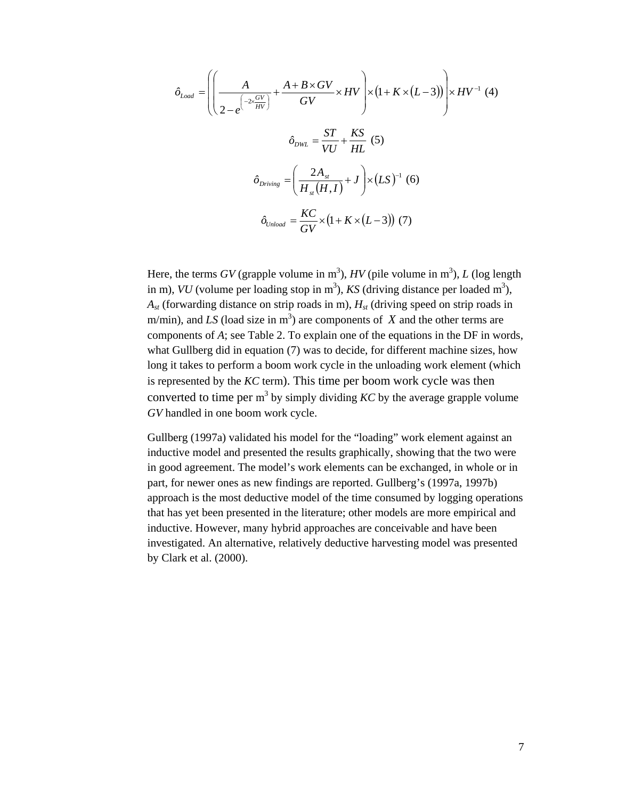$$
\hat{\sigma}_{Load} = \left( \left( \frac{A}{2 - e^{\left( -2 \times \frac{GV}{HV} \right)}} + \frac{A + B \times GV}{GV} \times HV \right) \times \left( 1 + K \times (L - 3) \right) \right) \times HV^{-1} \tag{4}
$$
\n
$$
\hat{\sigma}_{DWL} = \frac{ST}{VU} + \frac{KS}{HL} \tag{5}
$$
\n
$$
\hat{\sigma}_{Driving} = \left( \frac{2A_{st}}{H_{st}(H, I)} + J \right) \times \left( LS \right)^{-1} \tag{6}
$$
\n
$$
\hat{\sigma}_{Unload} = \frac{KC}{GV} \times \left( 1 + K \times (L - 3) \right) \tag{7}
$$

Here, the terms  $GV$  (grapple volume in m<sup>3</sup>),  $HV$  (pile volume in m<sup>3</sup>),  $L$  (log length in m),  $VU$  (volume per loading stop in m<sup>3</sup>), KS (driving distance per loaded m<sup>3</sup>),  $A_{st}$  (forwarding distance on strip roads in m),  $H_{st}$  (driving speed on strip roads in m/min), and LS (load size in  $m<sup>3</sup>$ ) are components of  $X$  and the other terms are components of *A*; see Table 2. To explain one of the equations in the DF in words, what Gullberg did in equation (7) was to decide, for different machine sizes, how long it takes to perform a boom work cycle in the unloading work element (which is represented by the *KC* term). This time per boom work cycle was then converted to time per  $m<sup>3</sup>$  by simply dividing *KC* by the average grapple volume *GV* handled in one boom work cycle.

Gullberg (1997a) validated his model for the "loading" work element against an inductive model and presented the results graphically, showing that the two were in good agreement. The model's work elements can be exchanged, in whole or in part, for newer ones as new findings are reported. Gullberg's (1997a, 1997b) approach is the most deductive model of the time consumed by logging operations that has yet been presented in the literature; other models are more empirical and inductive. However, many hybrid approaches are conceivable and have been investigated. An alternative, relatively deductive harvesting model was presented by Clark et al. (2000).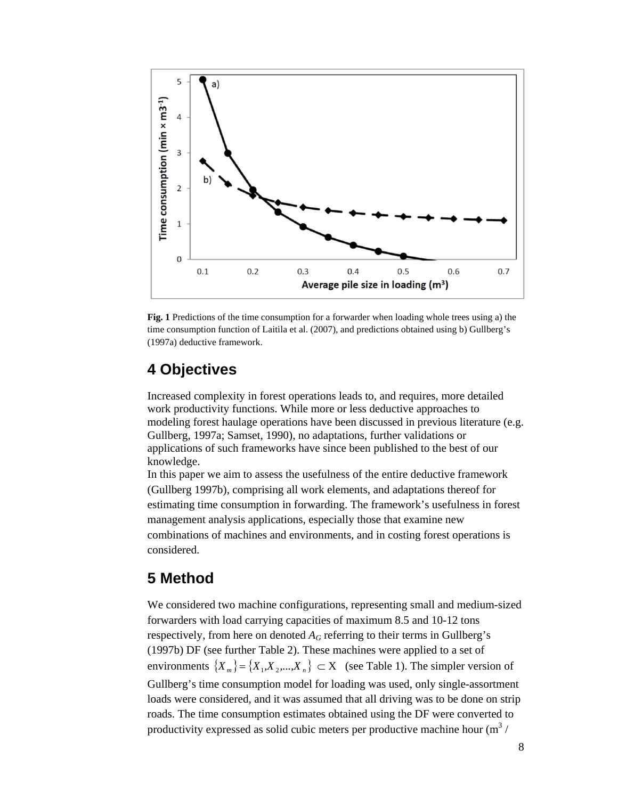

**Fig. 1** Predictions of the time consumption for a forwarder when loading whole trees using a) the time consumption function of Laitila et al. (2007), and predictions obtained using b) Gullberg's (1997a) deductive framework.

## **4 Objectives**

Increased complexity in forest operations leads to, and requires, more detailed work productivity functions. While more or less deductive approaches to modeling forest haulage operations have been discussed in previous literature (e.g. Gullberg, 1997a; Samset, 1990), no adaptations, further validations or applications of such frameworks have since been published to the best of our knowledge.

In this paper we aim to assess the usefulness of the entire deductive framework (Gullberg 1997b), comprising all work elements, and adaptations thereof for estimating time consumption in forwarding. The framework's usefulness in forest management analysis applications, especially those that examine new combinations of machines and environments, and in costing forest operations is considered.

### **5 Method**

We considered two machine configurations, representing small and medium-sized forwarders with load carrying capacities of maximum 8.5 and 10-12 tons respectively, from here on denoted  $A_G$  referring to their terms in Gullberg's (1997b) DF (see further Table 2). These machines were applied to a set of environments  ${X_m} = {X_1, X_2, ..., X_n} \subset X$  (see Table 1). The simpler version of Gullberg's time consumption model for loading was used, only single-assortment loads were considered, and it was assumed that all driving was to be done on strip roads. The time consumption estimates obtained using the DF were converted to productivity expressed as solid cubic meters per productive machine hour  $(m^3 / m^2)$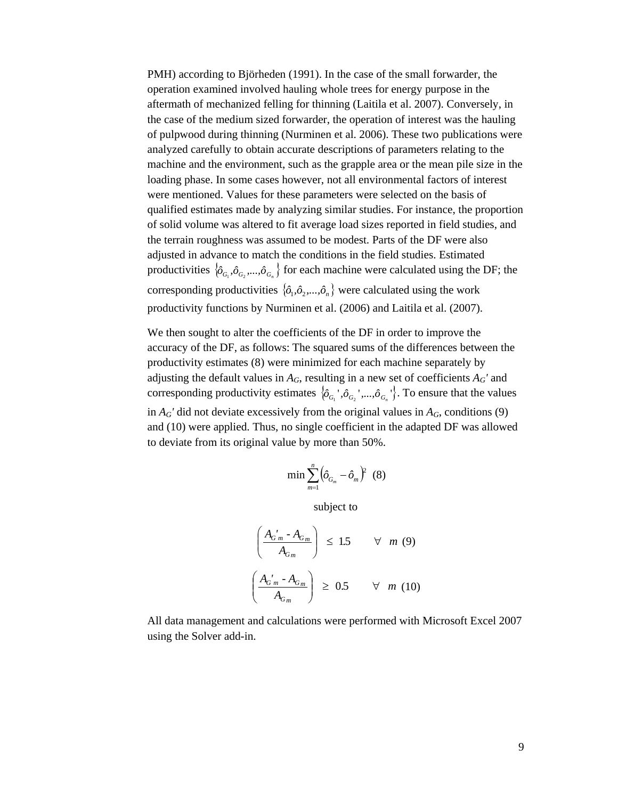PMH) according to Björheden (1991). In the case of the small forwarder, the operation examined involved hauling whole trees for energy purpose in the aftermath of mechanized felling for thinning (Laitila et al. 2007). Conversely, in the case of the medium sized forwarder, the operation of interest was the hauling of pulpwood during thinning (Nurminen et al. 2006). These two publications were analyzed carefully to obtain accurate descriptions of parameters relating to the machine and the environment, such as the grapple area or the mean pile size in the loading phase. In some cases however, not all environmental factors of interest were mentioned. Values for these parameters were selected on the basis of qualified estimates made by analyzing similar studies. For instance, the proportion of solid volume was altered to fit average load sizes reported in field studies, and the terrain roughness was assumed to be modest. Parts of the DF were also adjusted in advance to match the conditions in the field studies. Estimated productivities  $\{\hat{\sigma}_{G_1}, \hat{\sigma}_{G_2},..., \hat{\sigma}_{G_n}\}$  for each machine were calculated using the DF; the corresponding productivities  $\{\hat{o}_1, \hat{o}_2, \ldots, \hat{o}_n\}$  were calculated using the work productivity functions by Nurminen et al. (2006) and Laitila et al. (2007).

We then sought to alter the coefficients of the DF in order to improve the accuracy of the DF, as follows: The squared sums of the differences between the productivity estimates (8) were minimized for each machine separately by adjusting the default values in *AG*, resulting in a new set of coefficients *AG'* and corresponding productivity estimates  $\{\hat{\sigma}_{G_1}, \hat{\sigma}_{G_2}, \dots, \hat{\sigma}_{G_n}\}$ . To ensure that the values in  $A_G'$  did not deviate excessively from the original values in  $A_G$ , conditions (9)

and (10) were applied. Thus, no single coefficient in the adapted DF was allowed to deviate from its original value by more than 50%.

$$
\min \sum_{m=1}^n \left(\hat{o}_{G_m} - \hat{o}_m\right)^2 \quad (8)
$$

subject to

$$
\left(\frac{A_{G_m}^{\prime m} - A_{G_m}}{A_{G_m}}\right) \le 1.5 \qquad \forall \quad m \quad (9)
$$
\n
$$
\left(\frac{A_{G_m}^{\prime m} - A_{G_m}}{A_{G_m}}\right) \ge 0.5 \qquad \forall \quad m \quad (10)
$$

All data management and calculations were performed with Microsoft Excel 2007 using the Solver add-in.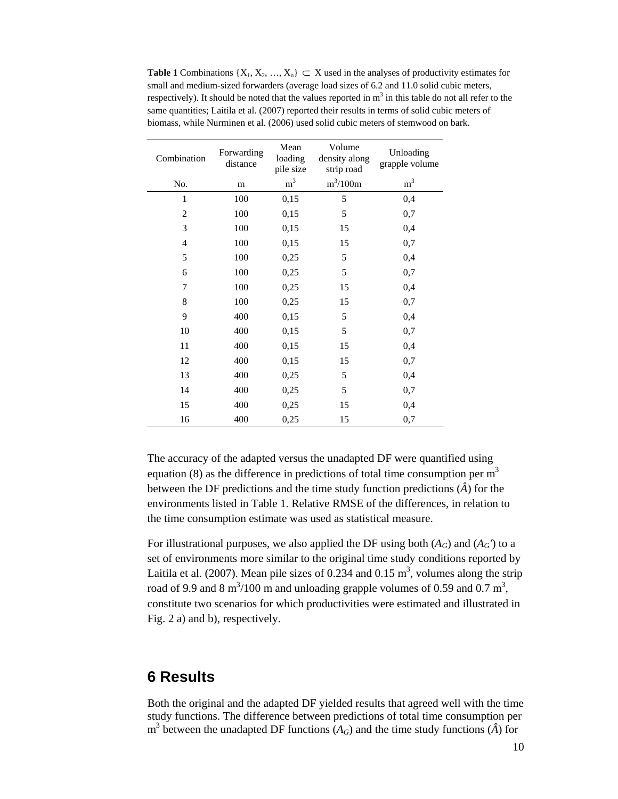**Table 1** Combinations  $\{X_1, X_2, ..., X_n\} \subset X$  used in the analyses of productivity estimates for small and medium-sized forwarders (average load sizes of 6.2 and 11.0 solid cubic meters, respectively). It should be noted that the values reported in  $m<sup>3</sup>$  in this table do not all refer to the same quantities; Laitila et al. (2007) reported their results in terms of solid cubic meters of biomass, while Nurminen et al. (2006) used solid cubic meters of stemwood on bark.

| Combination | Forwarding<br>distance | Mean<br>loading<br>pile size | Volume<br>density along<br>strip road | Unloading<br>grapple volume |  |
|-------------|------------------------|------------------------------|---------------------------------------|-----------------------------|--|
| No.         | m                      | m <sup>3</sup>               | $m^3/100m$                            | m <sup>3</sup>              |  |
| 1           | 100                    | 0,15                         | 5                                     | 0,4                         |  |
| 2           | 100                    | 0,15                         | 5                                     | 0,7                         |  |
| 3           | 100                    | 0,15                         | 15                                    | 0,4                         |  |
| 4           | 100                    | 0,15                         | 15                                    | 0,7                         |  |
| 5           | 100                    | 0,25                         | 5                                     | 0,4                         |  |
| 6           | 100                    | 0,25                         | 5                                     | 0,7                         |  |
| 7           | 100                    | 0,25                         | 15                                    | 0,4                         |  |
| 8           | 100                    | 0,25                         | 15                                    | 0,7                         |  |
| 9           | 400                    | 0,15                         | 5                                     | 0,4                         |  |
| 10          | 400                    | 0,15                         | 5                                     | 0,7                         |  |
| 11          | 400                    | 0,15                         | 15                                    | 0,4                         |  |
| 12          | 400                    | 0,15                         | 15                                    | 0,7                         |  |
| 13          | 400                    | 0,25                         | 5                                     | 0,4                         |  |
| 14          | 400                    | 0,25                         | 5                                     | 0,7                         |  |
| 15          | 400                    | 0,25                         | 15                                    | 0,4                         |  |
| 16          | 400                    | 0,25                         | 15                                    | 0,7                         |  |

The accuracy of the adapted versus the unadapted DF were quantified using equation (8) as the difference in predictions of total time consumption per  $m<sup>3</sup>$ between the DF predictions and the time study function predictions (*Â*) for the environments listed in Table 1. Relative RMSE of the differences, in relation to the time consumption estimate was used as statistical measure.

For illustrational purposes, we also applied the DF using both  $(A_G)$  and  $(A_G)$  to a set of environments more similar to the original time study conditions reported by Laitila et al. (2007). Mean pile sizes of 0.234 and 0.15  $m<sup>3</sup>$ , volumes along the strip road of 9.9 and 8 m<sup>3</sup>/100 m and unloading grapple volumes of 0.59 and 0.7 m<sup>3</sup>, constitute two scenarios for which productivities were estimated and illustrated in Fig. 2 a) and b), respectively.

### **6 Results**

Both the original and the adapted DF yielded results that agreed well with the time study functions. The difference between predictions of total time consumption per  $m<sup>3</sup>$  between the unadapted DF functions  $(A_G)$  and the time study functions  $(A)$  for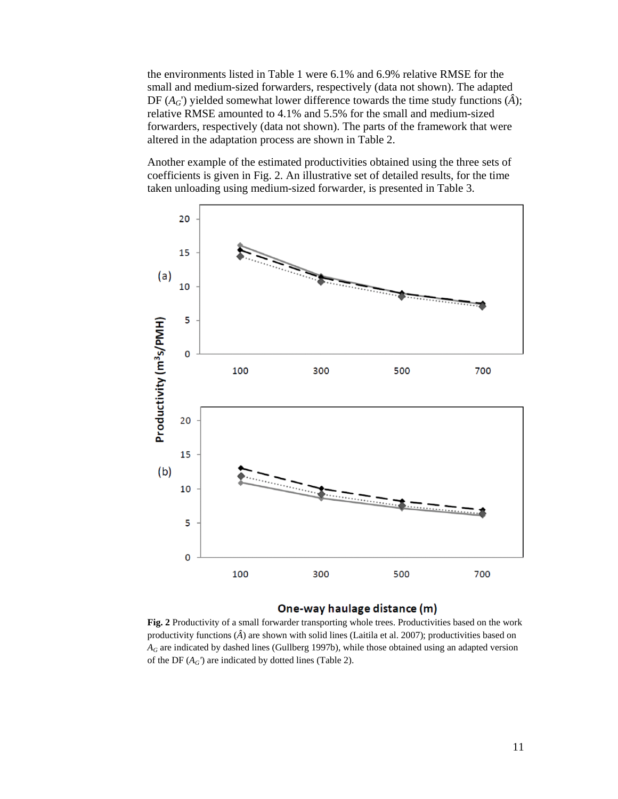the environments listed in Table 1 were 6.1% and 6.9% relative RMSE for the small and medium-sized forwarders, respectively (data not shown). The adapted DF  $(A_G)$  yielded somewhat lower difference towards the time study functions  $(A)$ ; relative RMSE amounted to 4.1% and 5.5% for the small and medium-sized forwarders, respectively (data not shown). The parts of the framework that were altered in the adaptation process are shown in Table 2.

Another example of the estimated productivities obtained using the three sets of coefficients is given in Fig. 2. An illustrative set of detailed results, for the time taken unloading using medium-sized forwarder, is presented in Table 3.



#### One-way haulage distance (m)

**Fig. 2** Productivity of a small forwarder transporting whole trees. Productivities based on the work productivity functions (*Â*) are shown with solid lines (Laitila et al. 2007); productivities based on *AG* are indicated by dashed lines (Gullberg 1997b), while those obtained using an adapted version of the DF (*AG'*) are indicated by dotted lines (Table 2).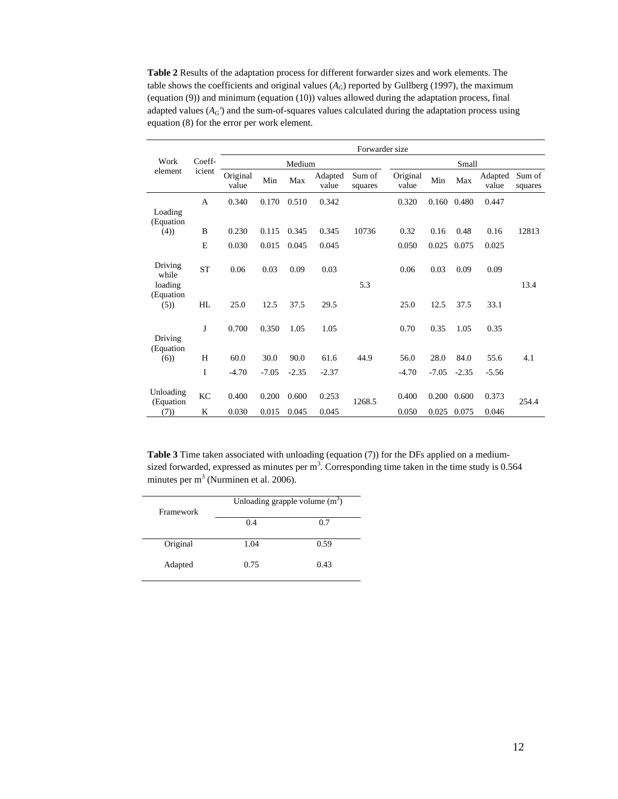**Table 2** Results of the adaptation process for different forwarder sizes and work elements. The table shows the coefficients and original values  $(A_G)$  reported by Gullberg (1997), the maximum (equation (9)) and minimum (equation (10)) values allowed during the adaptation process, final adapted values (*AG'*) and the sum-of-squares values calculated during the adaptation process using equation (8) for the error per work element.

|                             |              | Forwarder size    |         |         |                  |                   |                   |         |         |                  |                   |
|-----------------------------|--------------|-------------------|---------|---------|------------------|-------------------|-------------------|---------|---------|------------------|-------------------|
| Coeff-<br>Work              |              | Medium            |         |         |                  |                   | Small             |         |         |                  |                   |
| element                     | icient       | Original<br>value | Min     | Max     | Adapted<br>value | Sum of<br>squares | Original<br>value | Min     | Max     | Adapted<br>value | Sum of<br>squares |
|                             | $\mathsf{A}$ | 0.340             | 0.170   | 0.510   | 0.342            |                   | 0.320             | 0.160   | 0.480   | 0.447            |                   |
| Loading<br>(Equation        |              |                   |         |         |                  |                   |                   |         |         |                  |                   |
| (4)                         | B            | 0.230             | 0.115   | 0.345   | 0.345            | 10736             | 0.32              | 0.16    | 0.48    | 0.16             | 12813             |
|                             | Ε            | 0.030             | 0.015   | 0.045   | 0.045            |                   | 0.050             | 0.025   | 0.075   | 0.025            |                   |
| Driving<br>while<br>loading | <b>ST</b>    | 0.06              | 0.03    | 0.09    | 0.03             | 5.3               | 0.06              | 0.03    | 0.09    | 0.09             | 13.4              |
| (Equation<br>(5)            | HL           | 25.0              | 12.5    | 37.5    | 29.5             |                   | 25.0              | 12.5    | 37.5    | 33.1             |                   |
| Driving                     | J            | 0.700             | 0.350   | 1.05    | 1.05             |                   | 0.70              | 0.35    | 1.05    | 0.35             |                   |
| (Equation<br>(6)            | H            | 60.0              | 30.0    | 90.0    | 61.6             | 44.9              | 56.0              | 28.0    | 84.0    | 55.6             | 4.1               |
|                             | I            | $-4.70$           | $-7.05$ | $-2.35$ | $-2.37$          |                   | $-4.70$           | $-7.05$ | $-2.35$ | $-5.56$          |                   |
| Unloading<br>(Equation      | <b>KC</b>    | 0.400             | 0.200   | 0.600   | 0.253            | 1268.5            | 0.400             | 0.200   | 0.600   | 0.373            | 254.4             |
| (7)                         | K            | 0.030             | 0.015   | 0.045   | 0.045            |                   | 0.050             | 0.025   | 0.075   | 0.046            |                   |

**Table 3** Time taken associated with unloading (equation (7)) for the DFs applied on a mediumsized forwarded, expressed as minutes per  $m<sup>3</sup>$ . Corresponding time taken in the time study is 0.564 minutes per  $m<sup>3</sup>$  (Nurminen et al. 2006).

| Framework | Unloading grapple volume $(m^3)$ |      |  |  |  |
|-----------|----------------------------------|------|--|--|--|
|           | 0.4                              | 0.7  |  |  |  |
| Original  | 1.04                             | 0.59 |  |  |  |
| Adapted   | 0.75                             | 0.43 |  |  |  |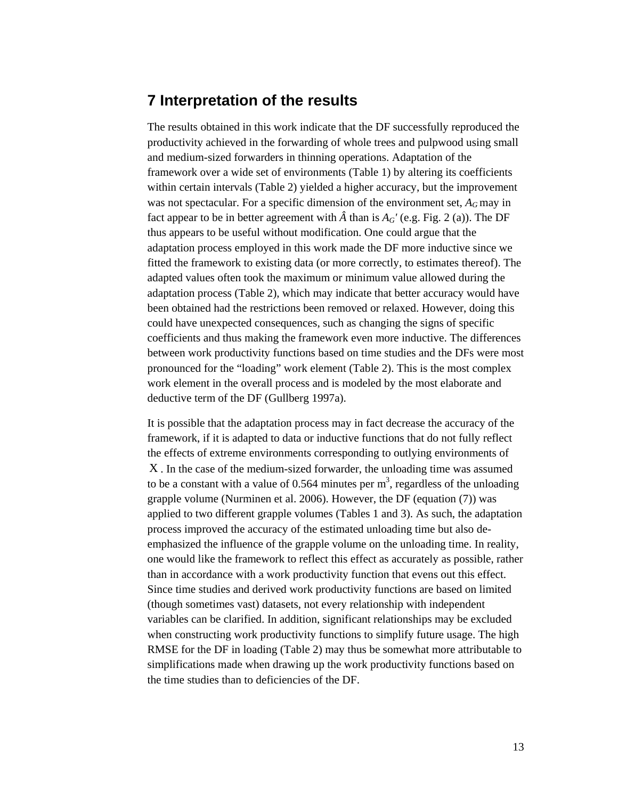### **7 Interpretation of the results**

The results obtained in this work indicate that the DF successfully reproduced the productivity achieved in the forwarding of whole trees and pulpwood using small and medium-sized forwarders in thinning operations. Adaptation of the framework over a wide set of environments (Table 1) by altering its coefficients within certain intervals (Table 2) yielded a higher accuracy, but the improvement was not spectacular. For a specific dimension of the environment set,  $A_G$  may in fact appear to be in better agreement with  $\hat{A}$  than is  $A_G'$  (e.g. Fig. 2 (a)). The DF thus appears to be useful without modification. One could argue that the adaptation process employed in this work made the DF more inductive since we fitted the framework to existing data (or more correctly, to estimates thereof). The adapted values often took the maximum or minimum value allowed during the adaptation process (Table 2), which may indicate that better accuracy would have been obtained had the restrictions been removed or relaxed. However, doing this could have unexpected consequences, such as changing the signs of specific coefficients and thus making the framework even more inductive. The differences between work productivity functions based on time studies and the DFs were most pronounced for the "loading" work element (Table 2). This is the most complex work element in the overall process and is modeled by the most elaborate and deductive term of the DF (Gullberg 1997a).

It is possible that the adaptation process may in fact decrease the accuracy of the framework, if it is adapted to data or inductive functions that do not fully reflect the effects of extreme environments corresponding to outlying environments of X . In the case of the medium-sized forwarder, the unloading time was assumed to be a constant with a value of 0.564 minutes per  $m<sup>3</sup>$ , regardless of the unloading grapple volume (Nurminen et al. 2006). However, the DF (equation (7)) was applied to two different grapple volumes (Tables 1 and 3). As such, the adaptation process improved the accuracy of the estimated unloading time but also deemphasized the influence of the grapple volume on the unloading time. In reality, one would like the framework to reflect this effect as accurately as possible, rather than in accordance with a work productivity function that evens out this effect. Since time studies and derived work productivity functions are based on limited (though sometimes vast) datasets, not every relationship with independent variables can be clarified. In addition, significant relationships may be excluded when constructing work productivity functions to simplify future usage. The high RMSE for the DF in loading (Table 2) may thus be somewhat more attributable to simplifications made when drawing up the work productivity functions based on the time studies than to deficiencies of the DF.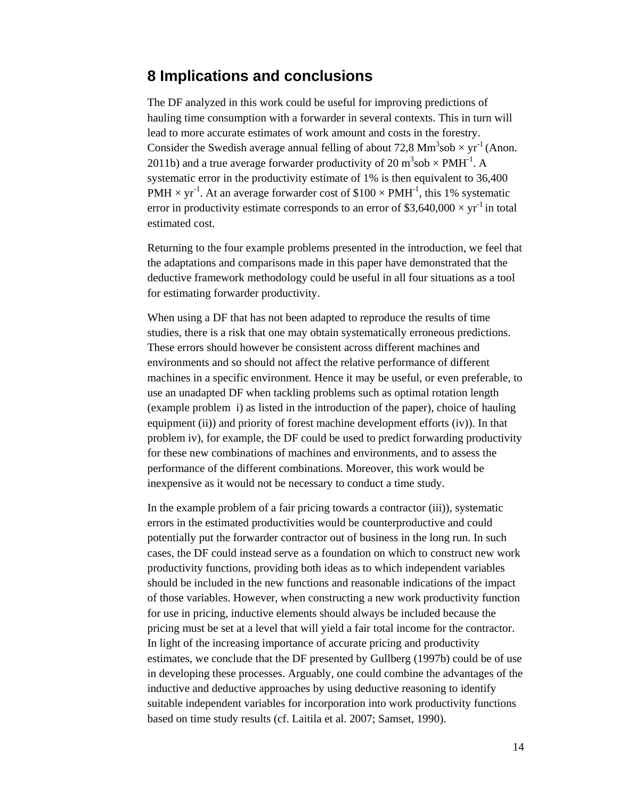### **8 Implications and conclusions**

The DF analyzed in this work could be useful for improving predictions of hauling time consumption with a forwarder in several contexts. This in turn will lead to more accurate estimates of work amount and costs in the forestry. Consider the Swedish average annual felling of about 72,8  $\text{Mm}^3\text{sob} \times \text{yr}^1$  (Anon. 2011b) and a true average forwarder productivity of 20 m<sup>3</sup>sob  $\times$  PMH<sup>-1</sup>. A systematic error in the productivity estimate of 1% is then equivalent to 36,400 PMH  $\times$  yr<sup>-1</sup>. At an average forwarder cost of \$100  $\times$  PMH<sup>-1</sup>, this 1% systematic error in productivity estimate corresponds to an error of \$3,640,000  $\times$  yr<sup>-1</sup> in total estimated cost.

Returning to the four example problems presented in the introduction, we feel that the adaptations and comparisons made in this paper have demonstrated that the deductive framework methodology could be useful in all four situations as a tool for estimating forwarder productivity.

When using a DF that has not been adapted to reproduce the results of time studies, there is a risk that one may obtain systematically erroneous predictions. These errors should however be consistent across different machines and environments and so should not affect the relative performance of different machines in a specific environment. Hence it may be useful, or even preferable, to use an unadapted DF when tackling problems such as optimal rotation length (example problem i) as listed in the introduction of the paper), choice of hauling equipment (ii)) and priority of forest machine development efforts (iv)). In that problem iv), for example, the DF could be used to predict forwarding productivity for these new combinations of machines and environments, and to assess the performance of the different combinations. Moreover, this work would be inexpensive as it would not be necessary to conduct a time study.

In the example problem of a fair pricing towards a contractor (iii)), systematic errors in the estimated productivities would be counterproductive and could potentially put the forwarder contractor out of business in the long run. In such cases, the DF could instead serve as a foundation on which to construct new work productivity functions, providing both ideas as to which independent variables should be included in the new functions and reasonable indications of the impact of those variables. However, when constructing a new work productivity function for use in pricing, inductive elements should always be included because the pricing must be set at a level that will yield a fair total income for the contractor. In light of the increasing importance of accurate pricing and productivity estimates, we conclude that the DF presented by Gullberg (1997b) could be of use in developing these processes. Arguably, one could combine the advantages of the inductive and deductive approaches by using deductive reasoning to identify suitable independent variables for incorporation into work productivity functions based on time study results (cf. Laitila et al. 2007; Samset, 1990).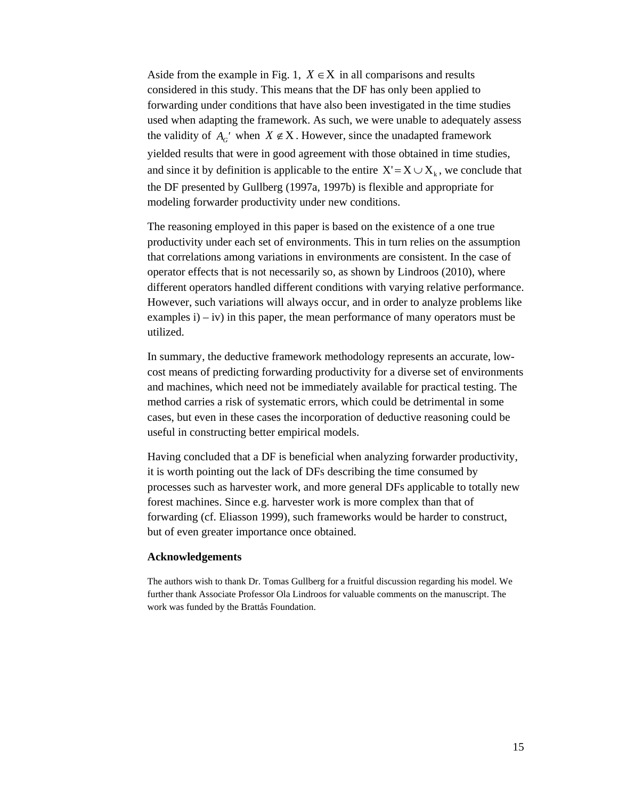Aside from the example in Fig. 1,  $X \in X$  in all comparisons and results considered in this study. This means that the DF has only been applied to forwarding under conditions that have also been investigated in the time studies used when adapting the framework. As such, we were unable to adequately assess the validity of  $A_G'$  when  $X \notin X$ . However, since the unadapted framework yielded results that were in good agreement with those obtained in time studies, and since it by definition is applicable to the entire  $X' = X \cup X_k$ , we conclude that the DF presented by Gullberg (1997a, 1997b) is flexible and appropriate for modeling forwarder productivity under new conditions.

The reasoning employed in this paper is based on the existence of a one true productivity under each set of environments. This in turn relies on the assumption that correlations among variations in environments are consistent. In the case of operator effects that is not necessarily so, as shown by Lindroos (2010), where different operators handled different conditions with varying relative performance. However, such variations will always occur, and in order to analyze problems like examples  $i$ ) – iv) in this paper, the mean performance of many operators must be utilized.

In summary, the deductive framework methodology represents an accurate, lowcost means of predicting forwarding productivity for a diverse set of environments and machines, which need not be immediately available for practical testing. The method carries a risk of systematic errors, which could be detrimental in some cases, but even in these cases the incorporation of deductive reasoning could be useful in constructing better empirical models.

Having concluded that a DF is beneficial when analyzing forwarder productivity, it is worth pointing out the lack of DFs describing the time consumed by processes such as harvester work, and more general DFs applicable to totally new forest machines. Since e.g. harvester work is more complex than that of forwarding (cf. Eliasson 1999), such frameworks would be harder to construct, but of even greater importance once obtained.

#### **Acknowledgements**

The authors wish to thank Dr. Tomas Gullberg for a fruitful discussion regarding his model. We further thank Associate Professor Ola Lindroos for valuable comments on the manuscript. The work was funded by the Brattås Foundation.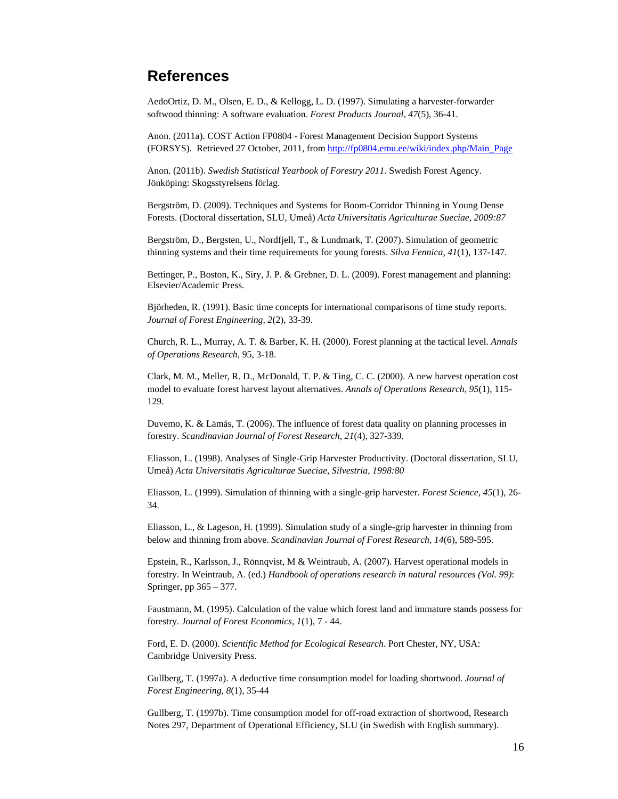#### **References**

AedoOrtiz, D. M., Olsen, E. D., & Kellogg, L. D. (1997). Simulating a harvester-forwarder softwood thinning: A software evaluation. *Forest Products Journal, 47*(5), 36-41.

Anon. (2011a). COST Action FP0804 - Forest Management Decision Support Systems (FORSYS). Retrieved 27 October, 2011, from http://fp0804.emu.ee/wiki/index.php/Main\_Page

Anon. (2011b). *Swedish Statistical Yearbook of Forestry 2011.* Swedish Forest Agency. Jönköping: Skogsstyrelsens förlag.

Bergström, D. (2009). Techniques and Systems for Boom-Corridor Thinning in Young Dense Forests. (Doctoral dissertation, SLU, Umeå) *Acta Universitatis Agriculturae Sueciae, 2009:87* 

Bergström, D., Bergsten, U., Nordfjell, T., & Lundmark, T. (2007). Simulation of geometric thinning systems and their time requirements for young forests. *Silva Fennica, 41*(1), 137-147.

Bettinger, P., Boston, K., Siry, J. P. & Grebner, D. L. (2009). Forest management and planning: Elsevier/Academic Press.

Björheden, R. (1991). Basic time concepts for international comparisons of time study reports. *Journal of Forest Engineering, 2*(2), 33-39.

Church, R. L., Murray, A. T. & Barber, K. H. (2000). Forest planning at the tactical level. *Annals of Operations Research,* 95, 3-18.

Clark, M. M., Meller, R. D., McDonald, T. P. & Ting, C. C. (2000). A new harvest operation cost model to evaluate forest harvest layout alternatives. *Annals of Operations Research, 95*(1), 115- 129.

Duvemo, K. & Lämås, T. (2006). The influence of forest data quality on planning processes in forestry. *Scandinavian Journal of Forest Research, 21*(4), 327-339.

Eliasson, L. (1998). Analyses of Single-Grip Harvester Productivity. (Doctoral dissertation, SLU, Umeå) *Acta Universitatis Agriculturae Sueciae, Silvestria, 1998:80* 

Eliasson, L. (1999). Simulation of thinning with a single-grip harvester. *Forest Science, 45*(1), 26- 34.

Eliasson, L., & Lageson, H. (1999). Simulation study of a single-grip harvester in thinning from below and thinning from above. *Scandinavian Journal of Forest Research, 14*(6), 589-595.

Epstein, R., Karlsson, J., Rönnqvist, M & Weintraub, A. (2007). Harvest operational models in forestry. In Weintraub, A. (ed.) *Handbook of operations research in natural resources (Vol. 99)*: Springer, pp 365 – 377.

Faustmann, M. (1995). Calculation of the value which forest land and immature stands possess for forestry. *Journal of Forest Economics, 1*(1), 7 - 44.

Ford, E. D. (2000). *Scientific Method for Ecological Research*. Port Chester, NY, USA: Cambridge University Press.

Gullberg, T. (1997a). A deductive time consumption model for loading shortwood. *Journal of Forest Engineering, 8*(1), 35-44

Gullberg, T. (1997b). Time consumption model for off-road extraction of shortwood, Research Notes 297, Department of Operational Efficiency, SLU (in Swedish with English summary).